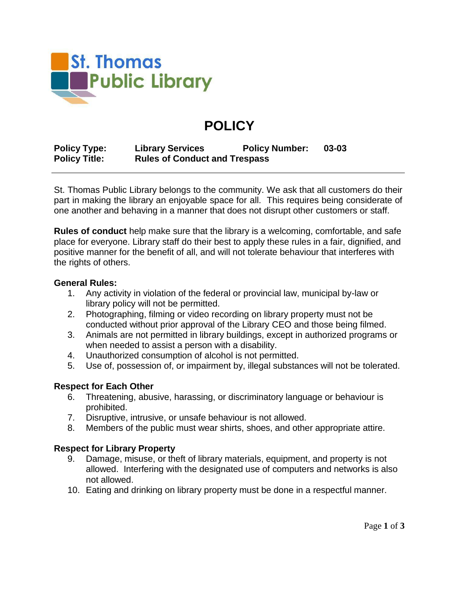

# **POLICY**

**Policy Type: Library Services Policy Number: 03-03 Policy Title: Rules of Conduct and Trespass**

St. Thomas Public Library belongs to the community. We ask that all customers do their part in making the library an enjoyable space for all. This requires being considerate of one another and behaving in a manner that does not disrupt other customers or staff.

**Rules of conduct** help make sure that the library is a welcoming, comfortable, and safe place for everyone. Library staff do their best to apply these rules in a fair, dignified, and positive manner for the benefit of all, and will not tolerate behaviour that interferes with the rights of others.

### **General Rules:**

- 1. Any activity in violation of the federal or provincial law, municipal by-law or library policy will not be permitted.
- 2. Photographing, filming or video recording on library property must not be conducted without prior approval of the Library CEO and those being filmed.
- 3. Animals are not permitted in library buildings, except in authorized programs or when needed to assist a person with a disability.
- 4. Unauthorized consumption of alcohol is not permitted.
- 5. Use of, possession of, or impairment by, illegal substances will not be tolerated.

# **Respect for Each Other**

- 6. Threatening, abusive, harassing, or discriminatory language or behaviour is prohibited.
- 7. Disruptive, intrusive, or unsafe behaviour is not allowed.
- 8. Members of the public must wear shirts, shoes, and other appropriate attire.

# **Respect for Library Property**

- 9. Damage, misuse, or theft of library materials, equipment, and property is not allowed. Interfering with the designated use of computers and networks is also not allowed.
- 10. Eating and drinking on library property must be done in a respectful manner.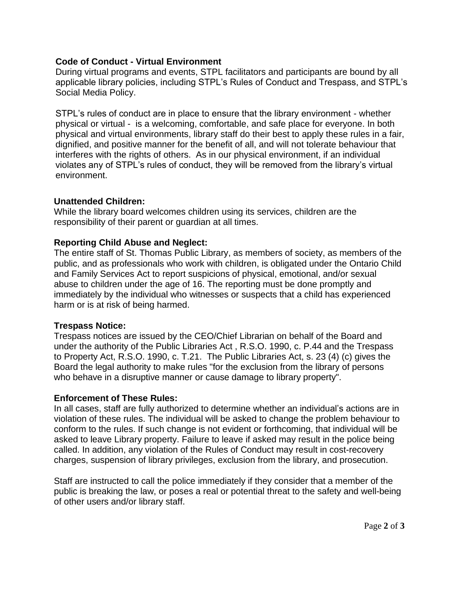# **Code of Conduct - Virtual Environment**

During virtual programs and events, STPL facilitators and participants are bound by all applicable library policies, including STPL's Rules of Conduct and Trespass, and STPL's Social Media Policy.

STPL's rules of conduct are in place to ensure that the library environment - whether physical or virtual - is a welcoming, comfortable, and safe place for everyone. In both physical and virtual environments, library staff do their best to apply these rules in a fair, dignified, and positive manner for the benefit of all, and will not tolerate behaviour that interferes with the rights of others. As in our physical environment, if an individual violates any of STPL's rules of conduct, they will be removed from the library's virtual environment.

## **Unattended Children:**

While the library board welcomes children using its services, children are the responsibility of their parent or guardian at all times.

# **Reporting Child Abuse and Neglect:**

The entire staff of St. Thomas Public Library, as members of society, as members of the public, and as professionals who work with children, is obligated under the Ontario Child and Family Services Act to report suspicions of physical, emotional, and/or sexual abuse to children under the age of 16. The reporting must be done promptly and immediately by the individual who witnesses or suspects that a child has experienced harm or is at risk of being harmed.

### **Trespass Notice:**

Trespass notices are issued by the CEO/Chief Librarian on behalf of the Board and under the authority of the Public Libraries Act , R.S.O. 1990, c. P.44 and the Trespass to Property Act, R.S.O. 1990, c. T.21. The Public Libraries Act, s. 23 (4) (c) gives the Board the legal authority to make rules "for the exclusion from the library of persons who behave in a disruptive manner or cause damage to library property".

# **Enforcement of These Rules:**

In all cases, staff are fully authorized to determine whether an individual's actions are in violation of these rules. The individual will be asked to change the problem behaviour to conform to the rules. If such change is not evident or forthcoming, that individual will be asked to leave Library property. Failure to leave if asked may result in the police being called. In addition, any violation of the Rules of Conduct may result in cost-recovery charges, suspension of library privileges, exclusion from the library, and prosecution.

Staff are instructed to call the police immediately if they consider that a member of the public is breaking the law, or poses a real or potential threat to the safety and well-being of other users and/or library staff.